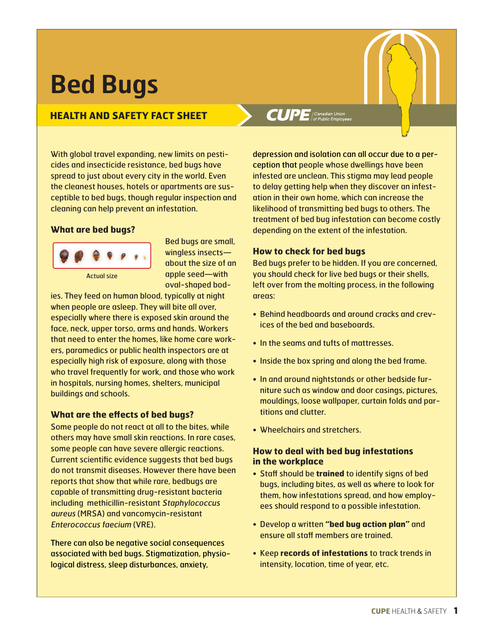# **Bed Bugs**

## **HEALTH AND SAFETY FACT SHEET**

With global travel expanding, new limits on pesticides and insecticide resistance, bed bugs have spread to just about every city in the world. Even the cleanest houses, hotels or apartments are susceptible to bed bugs, though regular inspection and cleaning can help prevent an infestation.

#### **What are bed bugs?**



Bed bugs are small, wingless insects about the size of an apple seed—with oval-shaped bod-

ies. They feed on human blood, typically at night when people are asleep. They will bite all over, especially where there is exposed skin around the face, neck, upper torso, arms and hands. Workers that need to enter the homes, like home care workers, paramedics or public health inspectors are at especially high risk of exposure, along with those who travel frequently for work, and those who work in hospitals, nursing homes, shelters, municipal buildings and schools.

#### **What are the effects of bed bugs?**

Some people do not react at all to the bites, while others may have small skin reactions. In rare cases, some people can have severe allergic reactions. Current scientific evidence suggests that bed bugs do not transmit diseases. However there have been reports that show that while rare, bedbugs are capable of transmitting drug-resistant bacteria including methicillin-resistant Staphylococcus aureus (MRSA) and vancomycin-resistant Enterococcus faecium (VRE).

There can also be negative social consequences associated with bed bugs. Stigmatization, physiological distress, sleep disturbances, anxiety,

# $CUPE$  (Canadian Union

depression and isolation can all occur due to a perception that people whose dwellings have been infested are unclean. This stigma may lead people to delay getting help when they discover an infestation in their own home, which can increase the likelihood of transmitting bed bugs to others. The treatment of bed bug infestation can become costly depending on the extent of the infestation.

#### **How to check for bed bugs**

Bed bugs prefer to be hidden. If you are concerned, you should check for live bed bugs or their shells, left over from the molting process, in the following areas:

- Behind headboards and around cracks and crevices of the bed and baseboards.
- In the seams and tufts of mattresses.
- Inside the box spring and along the bed frame.
- In and around nightstands or other bedside furniture such as window and door casings, pictures, mouldings, loose wallpaper, curtain folds and partitions and clutter.
- Wheelchairs and stretchers.

#### **How to deal with bed bug infestations in the workplace**

- Staff should be **trained** to identify signs of bed bugs, including bites, as well as where to look for them, how infestations spread, and how employees should respond to a possible infestation.
- Develop a written **"bed bug action plan"** and ensure all staff members are trained.
- Keep **records of infestations** to track trends in intensity, location, time of year, etc.